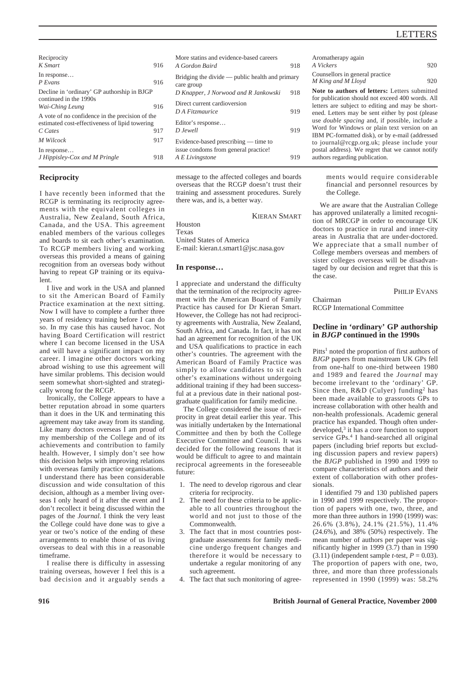| Reciprocity<br>K Smart                                                                            | 916 |
|---------------------------------------------------------------------------------------------------|-----|
| In response<br>$P$ Evans                                                                          | 916 |
| Decline in 'ordinary' GP authorship in BJGP<br>continued in the 1990s                             |     |
| Wai-Ching Leung                                                                                   | 916 |
| A vote of no confidence in the precision of the<br>estimated cost-effectiveness of lipid towering |     |
| C Cates                                                                                           | 917 |
| M Wilcock                                                                                         | 917 |
| In response<br>J Hippisley-Cox and M Pringle                                                      | 918 |

### **Reciprocity**

I have recently been informed that the RCGP is terminating its reciprocity agreements with the equivalent colleges in Australia, New Zealand, South Africa, Canada, and the USA. This agreement enabled members of the various colleges and boards to sit each other's examination. To RCGP members living and working overseas this provided a means of gaining recognition from an overseas body without having to repeat GP training or its equivalent.

I live and work in the USA and planned to sit the American Board of Family Practice examination at the next sitting. Now I will have to complete a further three years of residency training before I can do so. In my case this has caused havoc. Not having Board Certification will restrict where I can become licensed in the USA and will have a significant impact on my career. I imagine other doctors working abroad wishing to use this agreement will have similar problems. This decision would seem somewhat short-sighted and strategically wrong for the RCGP.

Ironically, the College appears to have a better reputation abroad in some quarters than it does in the UK and terminating this agreement may take away from its standing. Like many doctors overseas I am proud of my membership of the College and of its achievements and contribution to family health. However, I simply don't see how this decision helps with improving relations with overseas family practice organisations. I understand there has been considerable discussion and wide consultation of this decision, although as a member living overseas I only heard of it after the event and I don't recollect it being discussed within the pages of the *Journal*. I think the very least the College could have done was to give a year or two's notice of the ending of these arrangements to enable those of us living overseas to deal with this in a reasonable timeframe.

I realise there is difficulty in assessing training overseas, however I feel this is a bad decision and it arguably sends a

message to the affected colleges and boards Evidence-based prescribing — time to issue condoms from general practice! *A E Livingstone* 919

*D Knapper, J Norwood and R Jankowski* 918

*D A Fitzmaurice* 919

*D Jewell* 919

More statins and evidence-based careers *A Gordon Baird* 918 Bridging the divide — public health and primary

Direct current cardioversion

Editor's response…

care group

overseas that the RCGP doesn't trust their training and assessment procedures. Surely there was, and is, a better way.

KIERAN SMART

Houston Texas United States of America E-mail: kieran.t.smart1@jsc.nasa.gov

#### **In response…**

I appreciate and understand the difficulty that the termination of the reciprocity agreement with the American Board of Family Practice has caused for Dr Kieran Smart. However, the College has not had reciprocity agreements with Australia, New Zealand, South Africa, and Canada. In fact, it has not had an agreement for recognition of the UK and USA qualifications to practice in each other's countries. The agreement with the American Board of Family Practice was simply to allow candidates to sit each other's examinations without undergoing additional training if they had been successful at a previous date in their national postgraduate qualification for family medicine.

The College considered the issue of reciprocity in great detail earlier this year. This was initially undertaken by the International Committee and then by both the College Executive Committee and Council. It was decided for the following reasons that it would be difficult to agree to and maintain reciprocal agreements in the foreseeable future:

- 1. The need to develop rigorous and clear criteria for reciprocity.
- 2. The need for these criteria to be applicable to all countries throughout the world and not just to those of the Commonwealth.
- 3. The fact that in most countries postgraduate assessments for family medicine undergo frequent changes and therefore it would be necessary to undertake a regular monitoring of any such agreement.
- 4. The fact that such monitoring of agree-

Aromatherapy again *A Vickers* 920 Counsellors in general practice *M King and M Lloyd* 920 **Note to authors of letters:** Letters submitted for publication should not exceed 400 words. All letters are subject to editing and may be shortened. Letters may be sent either by post (please use *double spacing* and, if possible, include a Word for Windows or plain text version on an IBM PC-formatted disk), or by e-mail (addressed to journal@rcgp.org.uk; please include your postal address). We regret that we cannot notify authors regarding publication.

> ments would require considerable financial and personnel resources by the College.

We are aware that the Australian College has approved unilaterally a limited recognition of MRCGP in order to encourage UK doctors to practice in rural and inner-city areas in Australia that are under-doctored. We appreciate that a small number of College members overseas and members of sister colleges overseas will be disadvantaged by our decision and regret that this is the case.

PHILIP EVANS

Chairman

RCGP International Committee

## **Decline in 'ordinary' GP authorship in** *BJGP* **continued in the 1990s**

Pitts<sup>1</sup> noted the proportion of first authors of *BJGP* papers from mainstream UK GPs fell from one-half to one-third between 1980 and 1989 and feared the *Journal* may become irrelevant to the 'ordinary' GP. Since then,  $R&D$  (Culyer) funding<sup>2</sup> has been made available to grassroots GPs to increase collaboration with other health and non-health professionals. Academic general practice has expanded. Though often underdeveloped,3 it has a core function to support service GPs.<sup>4</sup> I hand-searched all original papers (including brief reports but excluding discussion papers and review papers) the *BJGP* published in 1990 and 1999 to compare characteristics of authors and their extent of collaboration with other professionals.

I identified 79 and 130 published papers in 1990 and 1999 respectively. The proportion of papers with one, two, three, and more than three authors in 1990 (1999) was: 26.6% (3.8%), 24.1% (21.5%), 11.4% (24.6%), and 38% (50%) respectively. The mean number of authors per paper was significantly higher in 1999 (3.7) than in 1990  $(3.11)$  (independent sample *t*-test,  $P = 0.03$ ). The proportion of papers with one, two, three, and more than three professionals represented in 1990 (1999) was: 58.2%

**916 British Journal of General Practice, November 2000**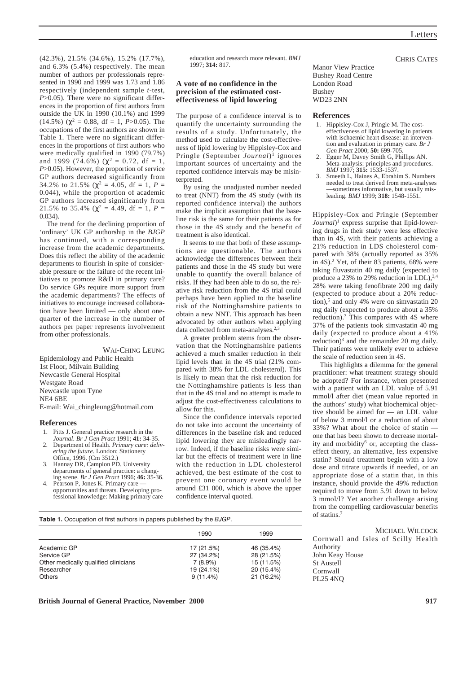CHRIS CATES

(42.3%), 21.5% (34.6%), 15.2% (17.7%), and 6.3% (5.4%) respectively. The mean number of authors per professionals represented in 1990 and 1999 was 1.73 and 1.86 respectively (independent sample *t*-test, *P*>0.05). There were no significant differences in the proportion of first authors from outside the UK in 1990 (10.1%) and 1999 (14.5%) ( $\chi^2 = 0.88$ , df = 1, *P*>0.05). The occupations of the first authors are shown in Table 1. There were no significant differences in the proportions of first authors who were medically qualified in 1990 (79.7%) and 1999 (74.6%) ( $\chi^2 = 0.72$ , df = 1, *P*>0.05). However, the proportion of service GP authors decreased significantly from 34.2% to 21.5% ( $\chi^2$  = 4.05, df = 1, *P* = 0.044), while the proportion of academic GP authors increased significantly from 21.5% to 35.4% ( $\chi^2 = 4.49$ , df = 1, P = 0.034).

The trend for the declining proportion of 'ordinary' UK GP authorship in the *BJGP* has continued, with a corresponding increase from the academic departments. Does this reflect the ability of the academic departments to flourish in spite of considerable pressure or the failure of the recent initiatives to promote R&D in primary care? Do service GPs require more support from the academic departments? The effects of initiatives to encourage increased collaboration have been limited — only about onequarter of the increase in the number of authors per paper represents involvement from other professionals.

WAI-CHING LEUNG Epidemiology and Public Health 1st Floor, Milvain Building Newcastle General Hospital Westgate Road Newcastle upon Tyne NE4 6BE E-mail: Wai\_chingleung@hotmail.com

#### **References**

- 1. Pitts J. General practice research in the
- *Journal*. *Br J Gen Pract* 1991; **41:** 34-35. 2. Department of Health. *Primary care: deliv-*
- *ering the future.* London: Stationery Office, 1996. (Cm 3512.) Hannay DR, Campion PD. University
- departments of general practice: a changing scene. *Br J Gen Pract* 1996; **46:** 35-36.
- Pearson P, Jones K. Primary care opportunities and threats. Developing professional knowledge: Making primary care

education and research more relevant. *BMJ* 1997; **314:** 817.

## **A vote of no confidence in the precision of the estimated costeffectiveness of lipid lowering**

The purpose of a confidence interval is to quantify the uncertainty surrounding the results of a study. Unfortunately, the method used to calculate the cost-effectiveness of lipid lowering by Hippisley-Cox and Pringle (September *Journal*)1 ignores important sources of uncertainty and the reported confidence intervals may be misinterpreted.

By using the unadjusted number needed to treat (NNT) from the 4S study (with its reported confidence interval) the authors make the implicit assumption that the baseline risk is the same for their patients as for those in the 4S study and the benefit of treatment is also identical.

It seems to me that both of these assumptions are questionable. The authors acknowledge the differences between their patients and those in the 4S study but were unable to quantify the overall balance of risks. If they had been able to do so, the relative risk reduction from the 4S trial could perhaps have been applied to the baseline risk of the Nottinghamshire patients to obtain a new NNT. This approach has been advocated by other authors when applying data collected from meta-analyses.<sup>2,3</sup>

A greater problem stems from the observation that the Nottinghamshire patients achieved a much smaller reduction in their lipid levels than in the 4S trial (21% compared with 38% for LDL cholesterol). This is likely to mean that the risk reduction for the Nottinghamshire patients is less than that in the 4S trial and no attempt is made to adjust the cost-effectiveness calculations to allow for this.

Since the confidence intervals reported do not take into account the uncertainty of differences in the baseline risk and reduced lipid lowering they are misleadingly narrow. Indeed, if the baseline risks were similar but the effects of treatment were in line with the reduction in LDL cholesterol achieved, the best estimate of the cost to prevent one coronary event would be around £31 000, which is above the upper confidence interval quoted.

Manor View Practice Bushey Road Centre London Road Bushey WD23 2NN

#### **References**

- 1. Hippisley-Cox J, Pringle M. The costeffectiveness of lipid lowering in patients with ischaemic heart disease: an intervention and evaluation in primary care. *Br J Gen Pract* 2000; **50:** 699-705.
- 2. Egger M, Davey Smith G, Phillips AN. Meta-analysis: principles and procedures. *BMJ* 1997; **315:** 1533-1537.
- 3. Smeeth L, Haines A, Ebrahim S. Numbers needed to treat derived from meta-analyses —sometimes informative, but usually misleading. *BMJ* 1999; **318:** 1548-1551.

Hippisley-Cox and Pringle (September *Journal*)1 express surprise that lipid-lowering drugs in their study were less effective than in 4S, with their patients achieving a 21% reduction in LDS cholesterol compared with 38% (actually reported as 35% in 4S).2 Yet, of their 83 patients, 68% were taking fluvastatin 40 mg daily (expected to produce a 23% to 29% reduction in LDL),<sup>3,4</sup> 28% were taking fenofibrate 200 mg daily (expected to produce about a 20% reduction),<sup>5</sup> and only 4% were on simvastatin 20 mg daily (expected to produce about a 35% reduction).3 This compares with 4S where 37% of the patients took simvastatin 40 mg daily (expected to produce about a 41% reduction) $3$  and the remainder 20 mg daily. Their patients were unlikely ever to achieve the scale of reduction seen in 4S.

This highlights a dilemma for the general practitioner: what treatment strategy should be adopted? For instance, when presented with a patient with an LDL value of 5.91 mmol/l after diet (mean value reported in the authors' study) what biochemical objective should be aimed for — an LDL value of below 3 mmol/l or a reduction of about 33%? What about the choice of statin one that has been shown to decrease mortality and morbidity<sup>6</sup> or, accepting the classeffect theory, an alternative, less expensive statin? Should treatment begin with a low dose and titrate upwards if needed, or an appropriate dose of a statin that, in this instance, should provide the 49% reduction required to move from 5.91 down to below 3 mmol/l? Yet another challenge arising from the compelling cardiovascular benefits of statins.7

|  | <b>Table 1.</b> Occupation of first authors in papers published by the BJGP. |  |
|--|------------------------------------------------------------------------------|--|
|--|------------------------------------------------------------------------------|--|

|                                      | 1990       | 1999       |
|--------------------------------------|------------|------------|
| Academic GP                          | 17 (21.5%) | 46 (35.4%) |
| Service GP                           | 27 (34.2%) | 28 (21.5%) |
| Other medically qualified clinicians | 7(8.9%)    | 15 (11.5%) |
| Researcher                           | 19 (24.1%) | 20 (15.4%) |
| <b>Others</b>                        | 9(11.4%)   | 21 (16.2%) |

MICHAEL WILCOCK Cornwall and Isles of Scilly Health Authority John Keay House St Austell Cornwall PL25 4NQ

**British Journal of General Practice, November 2000 917**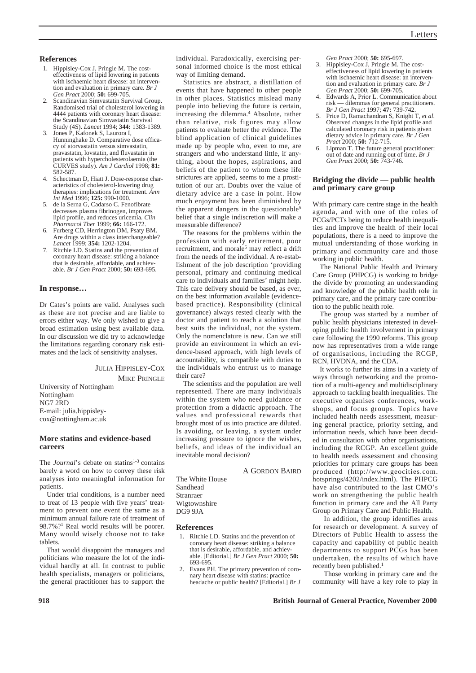## **References**

- 1. Hippisley-Cox J, Pringle M. The costeffectiveness of lipid lowering in patients with ischaemic heart disease: an intervention and evaluation in primary care. *Br J Gen Pract* 2000; **50:** 699-705.
- 2. Scandinavian Simvastatin Survival Group. Randomised trial of cholesterol lowering in 4444 patients with coronary heart disease: the Scandinavian Simvastatin Survival Study (4S). *Lancet* 1994; **344:** 1383-1389.
- 3. Jones P, Kafonek S, Laurora I, Hunninghake D. Comparative dose efficacy of atorvastatin versus simvastatin, pravastatin, lovstatin, and fluvastatin in patients with hypercholesterolaemia (the CURVES study). *Am J Cardiol* 1998; **81:** 582-587.
- 4. Schectman D, Hiatt J. Dose-response characteristics of cholesterol-lowering drug therapies: implications for treatment. *Ann Int Med* 1996; **125:** 990-1000.
- 5. de la Serna G, Cadarso C. Fenofibrate decreases plasma fibrinogen, improves lipid profile, and reduces uricemia. *Clin Pharmacol Ther* 1999; **66:** 166-172.
- 6. Furberg CD, Herrington DM, Psaty BM. Are drugs within a class interchangeable? *Lancet* 1999; **354:** 1202-1204.
- 7. Ritchie LD. Statins and the prevention of coronary heart disease: striking a balance that is desirable, affordable, and achievable. *Br J Gen Pract* 2000; **50:** 693-695.

#### **In response…**

Dr Cates's points are valid. Analyses such as these are not precise and are liable to errors either way. We only wished to give a broad estimation using best available data. In our discussion we did try to acknowledge the limitations regarding coronary risk estimates and the lack of sensitivity analyses.

## JULIA HIPPISLEY-COX

MIKE PRINGLE

University of Nottingham Nottingham NG7 2RD E-mail: julia.hippisleycox@nottingham.ac.uk

## **More statins and evidence-based careers**

The *Journal*'s debate on statins<sup>1-3</sup> contains barely a word on how to convey these risk analyses into meaningful information for patients.

Under trial conditions, is a number need to treat of 13 people with five years' treatment to prevent one event the same as a minimum annual failure rate of treatment of 98.7%?1 Real world results will be poorer. Many would wisely choose not to take tablets.

That would disappoint the managers and politicians who measure the lot of the individual hardly at all. In contrast to public health specialists, managers or politicians, the general practitioner has to support the

Statistics are abstract, a distillation of events that have happened to other people in other places. Statistics mislead many people into believing the future is certain, increasing the dilemma.<sup>4</sup> Absolute, rather than relative, risk figures may allow patients to evaluate better the evidence. The blind application of clinical guidelines made up by people who, even to me, are strangers and who understand little, if anything, about the hopes, aspirations, and beliefs of the patient to whom these life strictures are applied, seems to me a prostitution of our art. Doubts over the value of dietary advice are a case in point. How much enjoyment has been diminished by the apparent dangers in the questionable<sup>5</sup> belief that a single indiscretion will make a measurable difference?

The reasons for the problems within the profession with early retirement, poor recruitment, and morale<sup>6</sup> may reflect a drift from the needs of the individual. A re-establishment of the job description 'providing personal, primary and continuing medical care to individuals and families' might help. This care delivery should be based, as ever, on the best information available (evidencebased practice). Responsibility (clinical governance) always rested clearly with the doctor and patient to reach a solution that best suits the individual, not the system. Only the nomenclature is new. Can we still provide an environment in which an evidence-based approach, with high levels of accountability, is compatible with duties to the individuals who entrust us to manage their care?

The scientists and the population are well represented. There are many individuals within the system who need guidance or protection from a didactic approach. The values and professional rewards that brought most of us into practice are diluted. Is avoiding, or leaving, a system under increasing pressure to ignore the wishes, beliefs, and ideas of the individual an inevitable moral decision?

A GORDON BAIRD

The White House Sandhead Stranraer Wigtownshire DG9 9JA

#### **References**

- 1. Ritchie LD. Statins and the prevention of coronary heart disease: striking a balance that is desirable, affordable, and achievable. [Editorial.] *Br J Gen Pract* 2000; **50:** 693-695.
- 2. Evans PH. The primary prevention of coronary heart disease with statins: practice headache or public health? [Editorial.] *Br J*

*Gen Pract* 2000; **50:** 695-697.

- 3. Hippisley-Cox J, Pringle M. The costeffectiveness of lipid lowering in patients with ischaemic heart disease: an intervention and evaluation in primary care. *Br J Gen Pract* 2000; **50:** 699-705.
- 4. Edwards A, Prior L. Communication about risk — dilemmas for general practitioners. *Br J Gen Pract* 1997; **47:** 739-742.
- 5. Price D, Ramachandran S, Knight T, *et al*. Observed changes in the lipid profile and calculated coronary risk in patients given dietary advice in primary care. *Br J Gen Pract* 2000; **50:** 712-715.
- Lipman T. The future general practitioner: out of date and running out of time. *Br J Gen Pract* 2000; **50:** 743-746.

### **Bridging the divide — public health and primary care group**

With primary care centre stage in the health agenda, and with one of the roles of PCGs/PCTs being to reduce health inequalities and improve the health of their local populations, there is a need to improve the mutual understanding of those working in primary and community care and those working in public health.

The National Public Health and Primary Care Group (PHPCG) is working to bridge the divide by promoting an understanding and knowledge of the public health role in primary care, and the primary care contribution to the public health role.

The group was started by a number of public health physicians interested in developing public health involvement in primary care following the 1990 reforms. This group now has representatives from a wide range of organisations, including the RCGP, RCN, HVDNA, and the CDA.

It works to further its aims in a variety of ways through networking and the promotion of a multi-agency and multidisciplinary approach to tackling health inequalities. The executive organises conferences, workshops, and focus groups. Topics have included health needs assessment, measuring general practice, priority setting, and information needs, which have been decided in consultation with other organisations, including the RCGP. An excellent guide to health needs assessment and choosing priorities for primary care groups has been produced (http://www.geocities.com. hotsprings/4202/index.html). The PHPCG have also contributed to the last CMO's work on strengthening the public health function in primary care and the All Party Group on Primary Care and Public Health.

In addition, the group identifies areas for research or development. A survey of Directors of Public Health to assess the capacity and capability of public health departments to support PCGs has been undertaken, the results of which have recently been published.<sup>1</sup>

Those working in primary care and the community will have a key role to play in

#### **918 British Journal of General Practice, November 2000**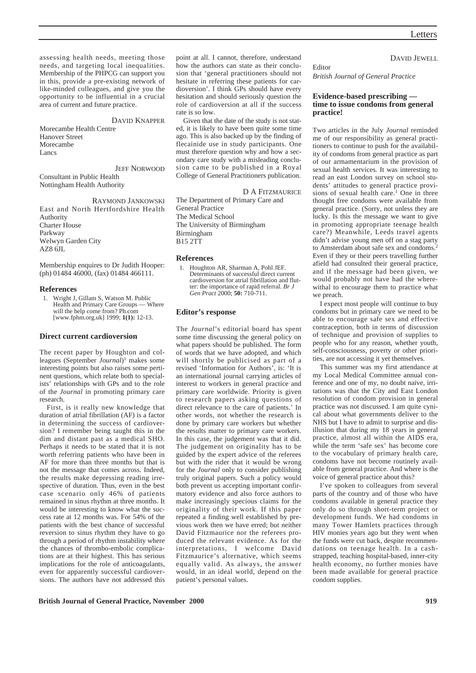assessing health needs, meeting those needs, and targeting local inequalities. Membership of the PHPCG can support you in this, provide a pre-existing network of like-minded colleagues, and give you the opportunity to be influential in a crucial area of current and future practice.

#### DAVID KNAPPER

Morecambe Health Centre Hanover Street Morecambe Lancs

JEFF NORWOOD Consultant in Public Health Nottingham Health Authority

RAYMOND JANKOWSKI East and North Hertfordshire Health Authority Charter House Parkway Welwyn Garden City AZ8 6JL

Membership enquires to Dr Judith Hooper: (ph) 01484 46000, (fax) 01484 466111.

#### **References**

1. Wright J, Gillam S, Watson M. Public<br>Health and Primary Care Groups — Where Health and Primary Care Groups will the help come from? Ph.com [www.fphm.org.uk] 1999; **1(1):** 12-13.

#### **Direct current cardioversion**

The recent paper by Houghton and colleagues (September *Journal*)1 makes some interesting points but also raises some pertinent questions, which relate both to specialists' relationships with GPs and to the role of the *Journal* in promoting primary care research.

First, is it really new knowledge that duration of atrial fibrillation (AF) is a factor in determining the success of cardioversion? I remember being taught this in the dim and distant past as a medical SHO. Perhaps it needs to be stated that it is not worth referring patients who have been in AF for more than three months but that is not the message that comes across. Indeed, the results make depressing reading irrespective of duration. Thus, even in the best case scenario only 46% of patients remained in sinus rhythm at three months. It would be interesting to know what the success rate at 12 months was. For 54% of the patients with the best chance of successful reversion to sinus rhythm they have to go through a period of rhythm instability where the chances of thrombo-embolic complications are at their highest. This has serious implications for the role of anticoagulants, even for apparently successful cardioversions. The authors have not addressed this

point at all. I cannot, therefore, understand how the authors can state as their conclusion that 'general practitioners should not hesitate in referring these patients for cardioversion'. I think GPs should have every hesitation and should seriously question the role of cardioversion at all if the success rate is so low.

Given that the date of the study is not stated, it is likely to have been quite some time ago. This is also backed up by the finding of flecainide use in study participants. One must therefore question why and how a secondary care study with a misleading conclusion came to be published in a Royal College of General Practitioners publication.

D A FITZMAURICE

The Department of Primary Care and General Practice The Medical School The University of Birmingham Birmingham B15 2TT

## **References**

1. Houghton AR, Sharman A, Pohl JEF. Determinants of successful direct current cardioversion for atrial fibrillation and flutter: the importance of rapid referral. *Br J Gen Pract* 2000; **50:** 710-711.

#### **Editor's response**

The *Journal*'s editorial board has spent some time discussing the general policy on what papers should be published. The form of words that we have adopted, and which will shortly be publicised as part of a revised 'Information for Authors', is: 'It is an international journal carrying articles of interest to workers in general practice and primary care worldwide. Priority is given to research papers asking questions of direct relevance to the care of patients.' In other words, not whether the research is done by primary care workers but whether the results matter to primary care workers. In this case, the judgement was that it did. The judgement on originality has to be guided by the expert advice of the referees but with the rider that it would be wrong for the *Journal* only to consider publishing truly original papers. Such a policy would both prevent us accepting important confirmatory evidence and also force authors to make increasingly specious claims for the originality of their work. If this paper repeated a finding well established by previous work then we have erred; but neither David Fitzmaurice nor the referees produced the relevant evidence. As for the interpretations, I welcome David Fitzmaurice's alternative, which seems equally valid. As always, the answer would, in an ideal world, depend on the patient's personal values.

DAVID JEWELL

*British Journal of General Practice*

Editor

## **Evidence-based prescribing time to issue condoms from general practice!**

Two articles in the July *Journal* reminded me of our responsibility as general practitioners to continue to push for the availability of condoms from general practice as part of our armamentarium in the provision of sexual health services. It was interesting to read an east London survey on school students' attitudes to general practice provisions of sexual health care.<sup>1</sup> One in three thought free condoms were available from general practice. (Sorry, not unless they are lucky. Is this the message we want to give in promoting appropriate teenage health care?) Meanwhile, Leeds travel agents didn't advise young men off on a stag party to Amsterdam about safe sex and condoms.2 Even if they or their peers travelling further afield had consulted their general practice, and if the message had been given, we would probably not have had the wherewithal to encourage them to practice what we preach.

I expect most people will continue to buy condoms but in primary care we need to be able to encourage safe sex and effective contraception, both in terms of discussion of technique and provision of supplies to people who for any reason, whether youth, self-consciousness, poverty or other priorities, are not accessing it yet themselves.

This summer was my first attendance at my Local Medical Committee annual conference and one of my, no doubt naïve, irritations was that the City and East London resolution of condom provision in general practice was not discussed. I am quite cynical about what governments deliver to the NHS but I have to admit to surprise and disillusion that during my 18 years in general practice, almost all within the AIDS era, while the term 'safe sex' has become core to the vocabulary of primary health care, condoms have not become routinely available from general practice. And where is the voice of general practice about this?

I've spoken to colleagues from several parts of the country and of those who have condoms available in general practice they only do so through short-term project or development funds. We had condoms in many Tower Hamlets practices through HIV monies years ago but they went when the funds were cut back, despite recommendations on teenage health. In a cashstrapped, teaching hospital-based, inner-city health economy, no further monies have been made available for general practice condom supplies.

**British Journal of General Practice, November 2000 919**